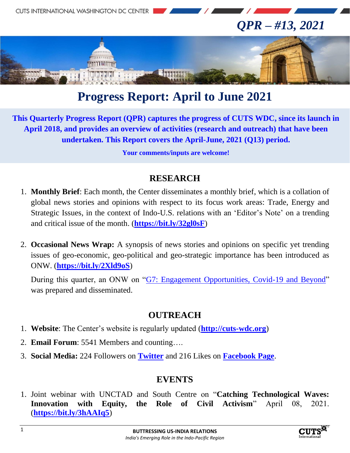

# **Progress Report: April to June 2021**

**This Quarterly Progress Report (QPR) captures the progress of CUTS WDC, since its launch in April 2018, and provides an overview of activities (research and outreach) that have been undertaken. This Report covers the April-June, 2021 (Q13) period.**

**Your comments/inputs are welcome!**

#### **RESEARCH**

- 1. **Monthly Brief**: Each month, the Center disseminates a monthly brief, which is a collation of global news stories and opinions with respect to its focus work areas: Trade, Energy and Strategic Issues, in the context of Indo-U.S. relations with an 'Editor's Note' on a trending and critical issue of the month. (**<https://bit.ly/32gl0sF>**)
- 2. **Occasional News Wrap:** A synopsis of news stories and opinions on specific yet trending issues of geo-economic, geo-political and geo-strategic importance has been introduced as ONW. (**<https://bit.ly/2Xld9oS>**)

During this quarter, an ONW on ["G7: Engagement Opportunities, Covid-19 and Beyond"](http://cuts-wdc.org/pdf/engagement-opportunities-covid-19-and-beyond.pdf) was prepared and disseminated.

### **OUTREACH**

- 1. **Website**: The Center's website is regularly updated (**[http://cuts-wdc.org](http://cuts-wdc.org/)**)
- 2. **Email Forum**: 5541 Members and counting….
- 3. **Social Media:** 224 Followers on **[Twitter](https://twitter.com/cutswdc)** and 216 Likes on **[Facebook Page](https://www.facebook.com/cutswdc)**.

### **EVENTS**

1. Joint webinar with UNCTAD and South Centre on "**Catching Technological Waves: Innovation with Equity, the Role of Civil Activism**" April 08, 2021. (**<https://bit.ly/3hAAIq5>**)